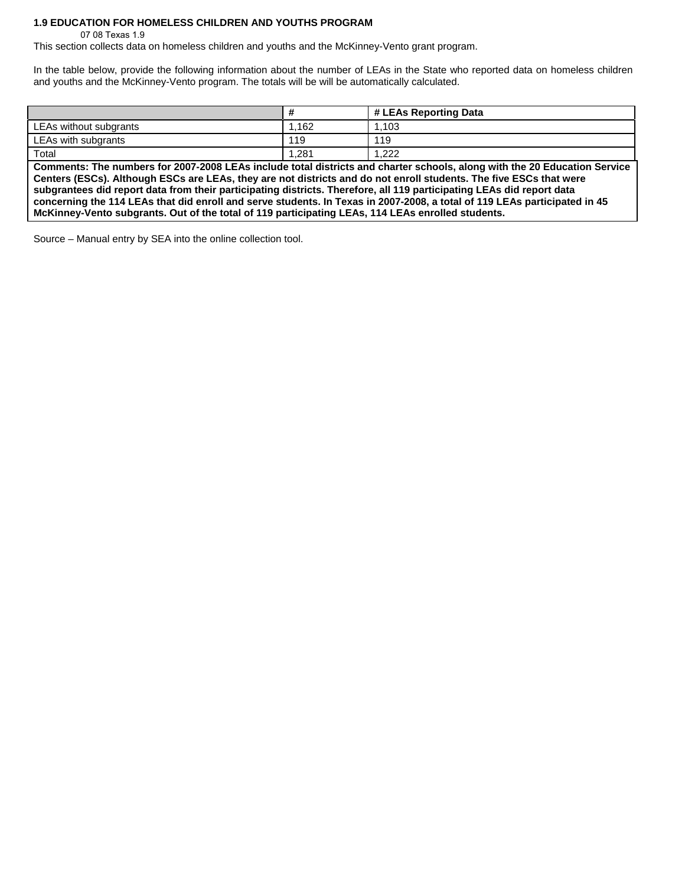## **1.9 EDUCATION FOR HOMELESS CHILDREN AND YOUTHS PROGRAM**

07 08 Texas 1.9

This section collects data on homeless children and youths and the McKinney-Vento grant program.

In the table below, provide the following information about the number of LEAs in the State who reported data on homeless children and youths and the McKinney-Vento program. The totals will be will be automatically calculated.

|                        | $\bm{\pi}$ | # LEAs Reporting Data |
|------------------------|------------|-----------------------|
| LEAs without subgrants | .162       | .103                  |
| LEAs with subgrants    | 119        | 119                   |
| Total                  | .281       | റററ                   |

**Comments: The numbers for 2007-2008 LEAs include total districts and charter schools, along with the 20 Education Service Centers (ESCs). Although ESCs are LEAs, they are not districts and do not enroll students. The five ESCs that were subgrantees did report data from their participating districts. Therefore, all 119 participating LEAs did report data concerning the 114 LEAs that did enroll and serve students. In Texas in 2007-2008, a total of 119 LEAs participated in 45 McKinney-Vento subgrants. Out of the total of 119 participating LEAs, 114 LEAs enrolled students.** 

Source – Manual entry by SEA into the online collection tool.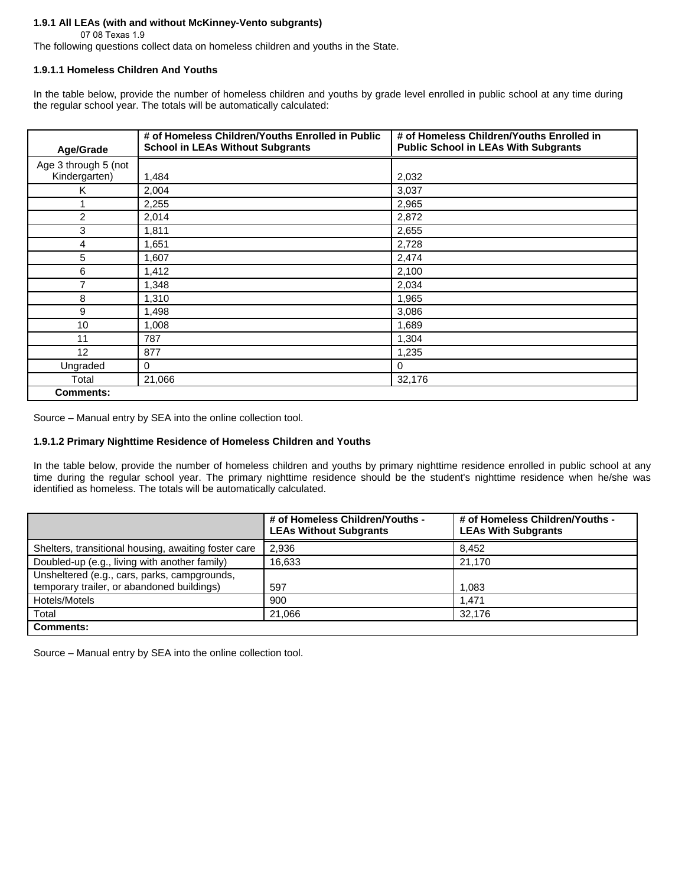## **1.9.1 All LEAs (with and without McKinney-Vento subgrants)**

07 08 Texas 1.9

The following questions collect data on homeless children and youths in the State.

# **1.9.1.1 Homeless Children And Youths**

In the table below, provide the number of homeless children and youths by grade level enrolled in public school at any time during the regular school year. The totals will be automatically calculated:

| Age/Grade            | # of Homeless Children/Youths Enrolled in Public<br><b>School in LEAs Without Subgrants</b> | # of Homeless Children/Youths Enrolled in<br><b>Public School in LEAs With Subgrants</b> |
|----------------------|---------------------------------------------------------------------------------------------|------------------------------------------------------------------------------------------|
| Age 3 through 5 (not |                                                                                             |                                                                                          |
| Kindergarten)        | 1,484                                                                                       | 2,032                                                                                    |
| Κ                    | 2,004                                                                                       | 3,037                                                                                    |
|                      | 2,255                                                                                       | 2,965                                                                                    |
| 2                    | 2,014                                                                                       | 2,872                                                                                    |
| 3                    | 1,811                                                                                       | 2,655                                                                                    |
| 4                    | 1,651                                                                                       | 2,728                                                                                    |
| 5                    | 1,607                                                                                       | 2,474                                                                                    |
| 6                    | 1,412                                                                                       | 2,100                                                                                    |
| $\overline{7}$       | 1,348                                                                                       | 2,034                                                                                    |
| 8                    | 1,310                                                                                       | 1,965                                                                                    |
| 9                    | 1,498                                                                                       | 3,086                                                                                    |
| 10                   | 1,008                                                                                       | 1,689                                                                                    |
| 11                   | 787                                                                                         | 1,304                                                                                    |
| 12                   | 877                                                                                         | 1,235                                                                                    |
| Ungraded             | $\mathbf 0$                                                                                 | 0                                                                                        |
| Total                | 21,066                                                                                      | 32,176                                                                                   |
| <b>Comments:</b>     |                                                                                             |                                                                                          |

Source – Manual entry by SEA into the online collection tool.

# **1.9.1.2 Primary Nighttime Residence of Homeless Children and Youths**

In the table below, provide the number of homeless children and youths by primary nighttime residence enrolled in public school at any time during the regular school year. The primary nighttime residence should be the student's nighttime residence when he/she was identified as homeless. The totals will be automatically calculated.

|                                                                                            | # of Homeless Children/Youths -<br><b>LEAs Without Subgrants</b> | # of Homeless Children/Youths -<br><b>LEAs With Subgrants</b> |
|--------------------------------------------------------------------------------------------|------------------------------------------------------------------|---------------------------------------------------------------|
| Shelters, transitional housing, awaiting foster care                                       | 2,936                                                            | 8.452                                                         |
| Doubled-up (e.g., living with another family)                                              | 16,633                                                           | 21.170                                                        |
| Unsheltered (e.g., cars, parks, campgrounds,<br>temporary trailer, or abandoned buildings) | 597                                                              | 1.083                                                         |
| Hotels/Motels                                                                              | 900                                                              | 1.471                                                         |
| Total                                                                                      | 21.066                                                           | 32.176                                                        |
| <b>Comments:</b>                                                                           |                                                                  |                                                               |

Source – Manual entry by SEA into the online collection tool.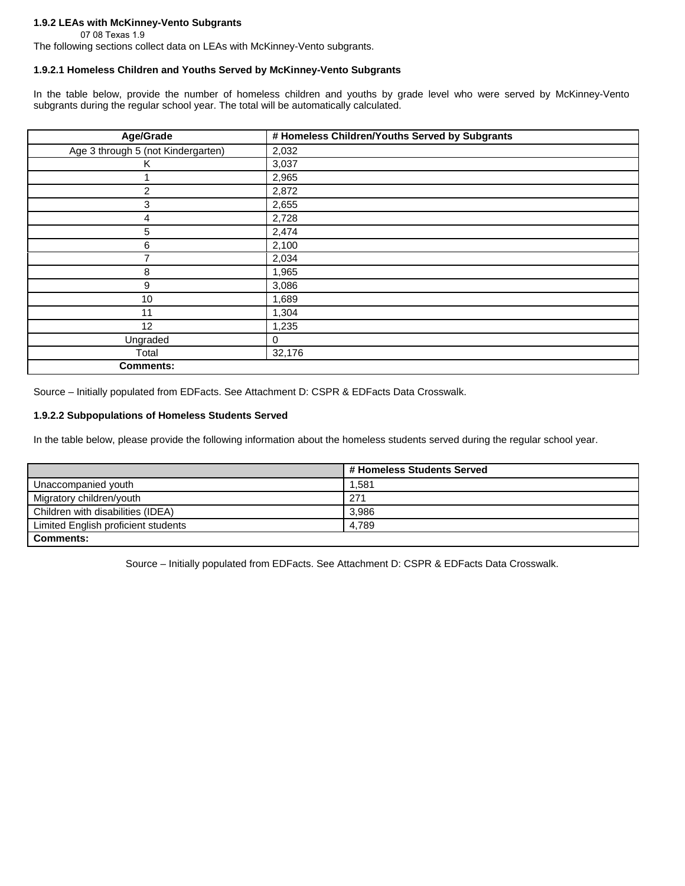### **1.9.2 LEAs with McKinney-Vento Subgrants**

07 08 Texas 1.9

The following sections collect data on LEAs with McKinney-Vento subgrants.

# **1.9.2.1 Homeless Children and Youths Served by McKinney-Vento Subgrants**

In the table below, provide the number of homeless children and youths by grade level who were served by McKinney-Vento subgrants during the regular school year. The total will be automatically calculated.

| Age/Grade                          | # Homeless Children/Youths Served by Subgrants |
|------------------------------------|------------------------------------------------|
| Age 3 through 5 (not Kindergarten) | 2,032                                          |
| Κ                                  | 3,037                                          |
|                                    | 2,965                                          |
| $\overline{c}$                     | 2,872                                          |
| 3                                  | 2,655                                          |
| 4                                  | 2,728                                          |
| 5                                  | 2,474                                          |
| 6                                  | 2,100                                          |
| 7                                  | 2,034                                          |
| 8                                  | 1,965                                          |
| 9                                  | 3,086                                          |
| 10                                 | 1,689                                          |
| 11                                 | 1,304                                          |
| 12                                 | 1,235                                          |
| Ungraded                           | $\mathbf 0$                                    |
| Total                              | 32,176                                         |
| <b>Comments:</b>                   |                                                |

Source – Initially populated from EDFacts. See Attachment D: CSPR & EDFacts Data Crosswalk.

# **1.9.2.2 Subpopulations of Homeless Students Served**

In the table below, please provide the following information about the homeless students served during the regular school year.

|                                     | # Homeless Students Served |  |
|-------------------------------------|----------------------------|--|
| Unaccompanied youth                 | 1.581                      |  |
| Migratory children/youth            | 271                        |  |
| Children with disabilities (IDEA)   | 3.986                      |  |
| Limited English proficient students | 4.789                      |  |
| <b>Comments:</b>                    |                            |  |

Source – Initially populated from EDFacts. See Attachment D: CSPR & EDFacts Data Crosswalk.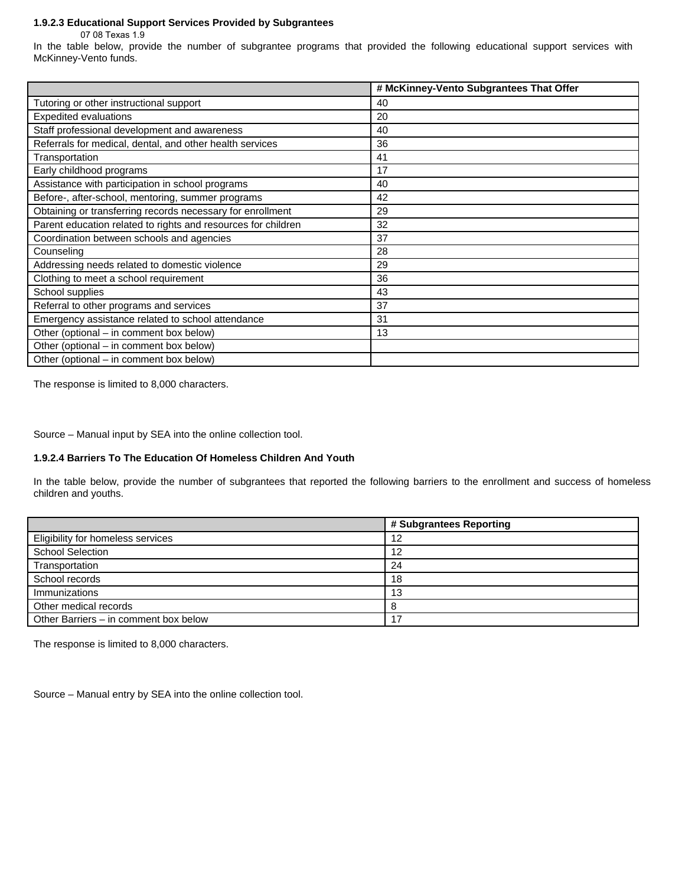#### **1.9.2.3 Educational Support Services Provided by Subgrantees**

07 08 Texas 1.9

In the table below, provide the number of subgrantee programs that provided the following educational support services with McKinney-Vento funds.

|                                                               | # McKinney-Vento Subgrantees That Offer |
|---------------------------------------------------------------|-----------------------------------------|
| Tutoring or other instructional support                       | 40                                      |
| <b>Expedited evaluations</b>                                  | 20                                      |
| Staff professional development and awareness                  | 40                                      |
| Referrals for medical, dental, and other health services      | 36                                      |
| Transportation                                                | 41                                      |
| Early childhood programs                                      | 17                                      |
| Assistance with participation in school programs              | 40                                      |
| Before-, after-school, mentoring, summer programs             | 42                                      |
| Obtaining or transferring records necessary for enrollment    | 29                                      |
| Parent education related to rights and resources for children | 32                                      |
| Coordination between schools and agencies                     | 37                                      |
| Counseling                                                    | 28                                      |
| Addressing needs related to domestic violence                 | 29                                      |
| Clothing to meet a school requirement                         | 36                                      |
| School supplies                                               | 43                                      |
| Referral to other programs and services                       | 37                                      |
| Emergency assistance related to school attendance             | 31                                      |
| Other (optional – in comment box below)                       | 13                                      |
| Other (optional – in comment box below)                       |                                         |
| Other (optional – in comment box below)                       |                                         |

The response is limited to 8,000 characters.

Source – Manual input by SEA into the online collection tool.

#### **1.9.2.4 Barriers To The Education Of Homeless Children And Youth**

In the table below, provide the number of subgrantees that reported the following barriers to the enrollment and success of homeless children and youths.

|                                       | # Subgrantees Reporting |
|---------------------------------------|-------------------------|
| Eligibility for homeless services     | 12                      |
| <b>School Selection</b>               | 12                      |
| Transportation                        | 24                      |
| School records                        | 18                      |
| Immunizations                         | 13                      |
| Other medical records                 |                         |
| Other Barriers - in comment box below |                         |

The response is limited to 8,000 characters.

Source – Manual entry by SEA into the online collection tool.